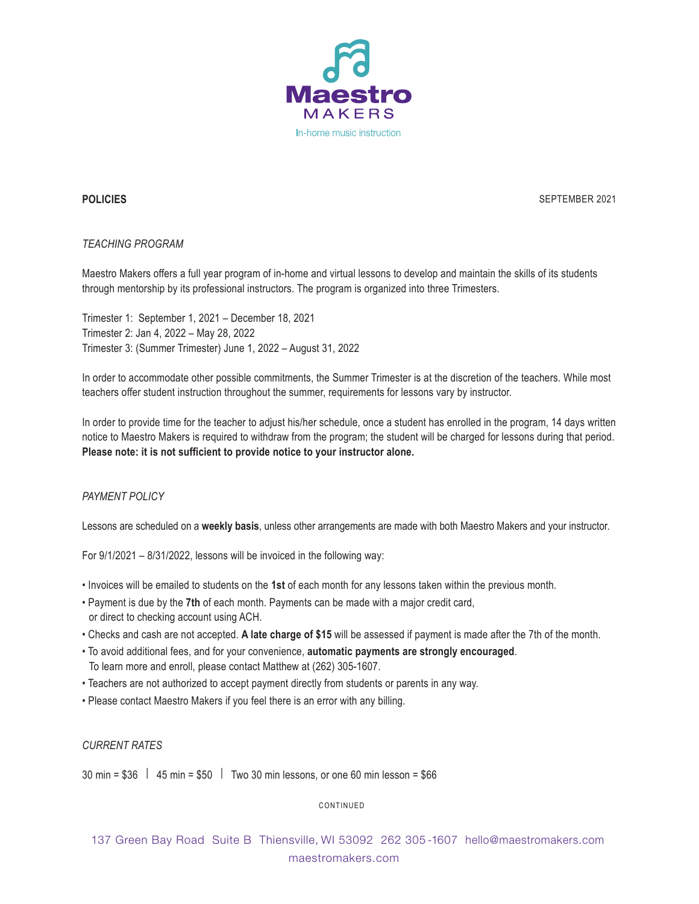

## **POLICIES**

SEPTEMBER 2021

## *TEACHING PROGRAM*

Maestro Makers offers a full year program of in-home and virtual lessons to develop and maintain the skills of its students through mentorship by its professional instructors. The program is organized into three Trimesters.

Trimester 1: September 1, 2021 – December 18, 2021 Trimester 2: Jan 4, 2022 – May 28, 2022 Trimester 3: (Summer Trimester) June 1, 2022 – August 31, 2022

In order to accommodate other possible commitments, the Summer Trimester is at the discretion of the teachers. While most teachers offer student instruction throughout the summer, requirements for lessons vary by instructor.

In order to provide time for the teacher to adjust his/her schedule, once a student has enrolled in the program, 14 days written notice to Maestro Makers is required to withdraw from the program; the student will be charged for lessons during that period. **Please note: it is not sufficient to provide notice to your instructor alone.**

# *PAYMENT POLICY*

Lessons are scheduled on a **weekly basis**, unless other arrangements are made with both Maestro Makers and your instructor.

For 9/1/2021 – 8/31/2022, lessons will be invoiced in the following way:

- Invoices will be emailed to students on the **1st** of each month for any lessons taken within the previous month.
- Payment is due by the **7th** of each month. Payments can be made with a major credit card, or direct to checking account using ACH.
- Checks and cash are not accepted. **A late charge of \$15** will be assessed if payment is made after the 7th of the month.
- To avoid additional fees, and for your convenience, **automatic payments are strongly encouraged**. To learn more and enroll, please contact Matthew at (262) 305-1607.
- Teachers are not authorized to accept payment directly from students or parents in any way.
- Please contact Maestro Makers if you feel there is an error with any billing.

*CURRENT RATES*

30 min = \$36 | 45 min = \$50 | Two 30 min lessons, or one 60 min lesson = \$66

CONTINUED

137 Green Bay Road Suite B Thiensville, WI 53092 262 305 -1607 hello@maestromakers.com maestromakers.com